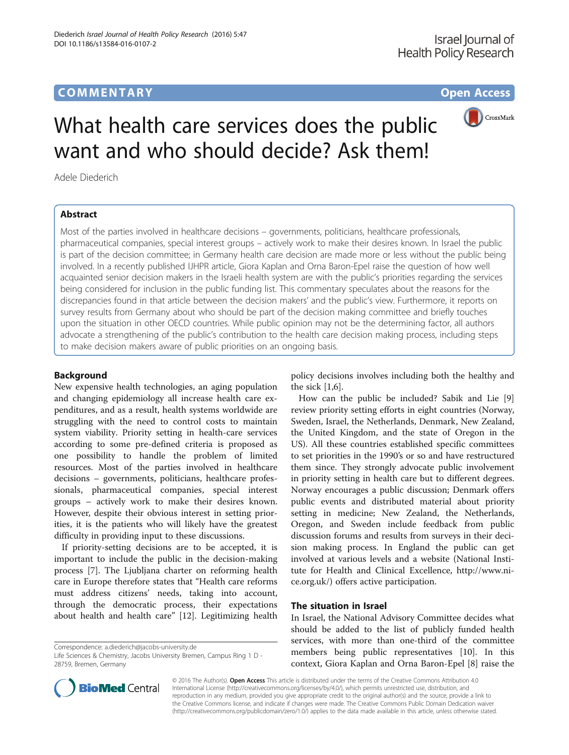# **COMMENTARY COMMENTARY Open Access**



# What health care services does the public want and who should decide? Ask them!

Adele Diederich

# Abstract

Most of the parties involved in healthcare decisions – governments, politicians, healthcare professionals, pharmaceutical companies, special interest groups – actively work to make their desires known. In Israel the public is part of the decision committee; in Germany health care decision are made more or less without the public being involved. In a recently published IJHPR article, Giora Kaplan and Orna Baron-Epel raise the question of how well acquainted senior decision makers in the Israeli health system are with the public's priorities regarding the services being considered for inclusion in the public funding list. This commentary speculates about the reasons for the discrepancies found in that article between the decision makers' and the public's view. Furthermore, it reports on survey results from Germany about who should be part of the decision making committee and briefly touches upon the situation in other OECD countries. While public opinion may not be the determining factor, all authors advocate a strengthening of the public's contribution to the health care decision making process, including steps to make decision makers aware of public priorities on an ongoing basis.

## Background

New expensive health technologies, an aging population and changing epidemiology all increase health care expenditures, and as a result, health systems worldwide are struggling with the need to control costs to maintain system viability. Priority setting in health-care services according to some pre-defined criteria is proposed as one possibility to handle the problem of limited resources. Most of the parties involved in healthcare decisions – governments, politicians, healthcare professionals, pharmaceutical companies, special interest groups – actively work to make their desires known. However, despite their obvious interest in setting priorities, it is the patients who will likely have the greatest difficulty in providing input to these discussions.

If priority-setting decisions are to be accepted, it is important to include the public in the decision-making process [[7\]](#page-3-0). The Ljubljana charter on reforming health care in Europe therefore states that "Health care reforms must address citizens' needs, taking into account, through the democratic process, their expectations about health and health care" [[12\]](#page-3-0). Legitimizing health

Correspondence: [a.diederich@jacobs-university.de](mailto:a.diederich@jacobs-university.de)

policy decisions involves including both the healthy and the sick [\[1,6](#page-3-0)].

How can the public be included? Sabik and Lie [\[9](#page-3-0)] review priority setting efforts in eight countries (Norway, Sweden, Israel, the Netherlands, Denmark, New Zealand, the United Kingdom, and the state of Oregon in the US). All these countries established specific committees to set priorities in the 1990's or so and have restructured them since. They strongly advocate public involvement in priority setting in health care but to different degrees. Norway encourages a public discussion; Denmark offers public events and distributed material about priority setting in medicine; New Zealand, the Netherlands, Oregon, and Sweden include feedback from public discussion forums and results from surveys in their decision making process. In England the public can get involved at various levels and a website (National Institute for Health and Clinical Excellence, [http://www.ni](http://www.nice.org.uk/)[ce.org.uk/](http://www.nice.org.uk/)) offers active participation.

# The situation in Israel

In Israel, the National Advisory Committee decides what should be added to the list of publicly funded health services, with more than one-third of the committee members being public representatives [[10](#page-3-0)]. In this context, Giora Kaplan and Orna Baron-Epel [[8\]](#page-3-0) raise the



© 2016 The Author(s). Open Access This article is distributed under the terms of the Creative Commons Attribution 4.0 International License [\(http://creativecommons.org/licenses/by/4.0/](http://creativecommons.org/licenses/by/4.0/)), which permits unrestricted use, distribution, and reproduction in any medium, provided you give appropriate credit to the original author(s) and the source, provide a link to the Creative Commons license, and indicate if changes were made. The Creative Commons Public Domain Dedication waiver [\(http://creativecommons.org/publicdomain/zero/1.0/](http://creativecommons.org/publicdomain/zero/1.0/)) applies to the data made available in this article, unless otherwise stated.

Life Sciences & Chemistry, Jacobs University Bremen, Campus Ring 1 D - 28759, Bremen, Germany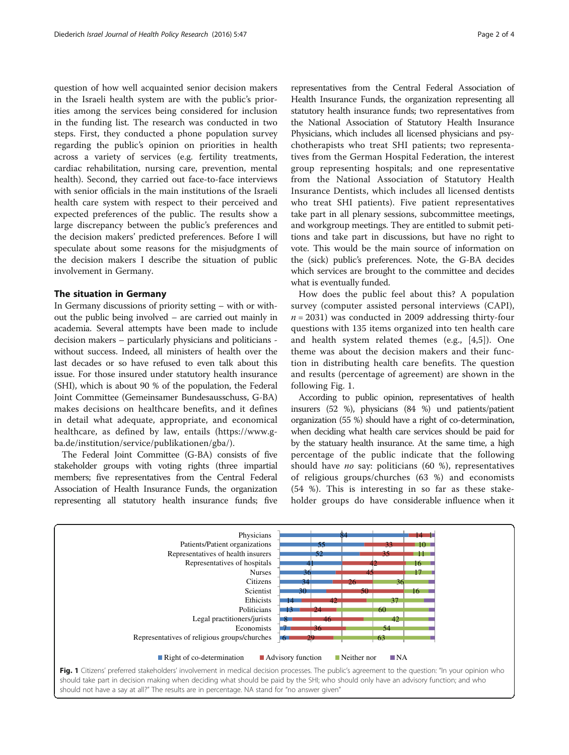question of how well acquainted senior decision makers in the Israeli health system are with the public's priorities among the services being considered for inclusion in the funding list. The research was conducted in two steps. First, they conducted a phone population survey regarding the public's opinion on priorities in health across a variety of services (e.g. fertility treatments, cardiac rehabilitation, nursing care, prevention, mental health). Second, they carried out face-to-face interviews with senior officials in the main institutions of the Israeli health care system with respect to their perceived and expected preferences of the public. The results show a large discrepancy between the public's preferences and the decision makers' predicted preferences. Before I will speculate about some reasons for the misjudgments of the decision makers I describe the situation of public involvement in Germany.

### The situation in Germany

In Germany discussions of priority setting – with or without the public being involved – are carried out mainly in academia. Several attempts have been made to include decision makers – particularly physicians and politicians without success. Indeed, all ministers of health over the last decades or so have refused to even talk about this issue. For those insured under statutory health insurance (SHI), which is about 90 % of the population, the Federal Joint Committee (Gemeinsamer Bundesausschuss, G-BA) makes decisions on healthcare benefits, and it defines in detail what adequate, appropriate, and economical healthcare, as defined by law, entails [\(https://www.g](https://www.g-ba.de/institution/service/publikationen/gba/)[ba.de/institution/service/publikationen/gba/](https://www.g-ba.de/institution/service/publikationen/gba/)).

The Federal Joint Committee (G-BA) consists of five stakeholder groups with voting rights (three impartial members; five representatives from the Central Federal Association of Health Insurance Funds, the organization representing all statutory health insurance funds; five

representatives from the Central Federal Association of Health Insurance Funds, the organization representing all statutory health insurance funds; two representatives from the National Association of Statutory Health Insurance Physicians, which includes all licensed physicians and psychotherapists who treat SHI patients; two representatives from the German Hospital Federation, the interest group representing hospitals; and one representative from the National Association of Statutory Health Insurance Dentists, which includes all licensed dentists who treat SHI patients). Five patient representatives take part in all plenary sessions, subcommittee meetings, and workgroup meetings. They are entitled to submit peti-

tions and take part in discussions, but have no right to vote. This would be the main source of information on the (sick) public's preferences. Note, the G-BA decides which services are brought to the committee and decides what is eventually funded.

How does the public feel about this? A population survey (computer assisted personal interviews (CAPI),  $n = 2031$ ) was conducted in 2009 addressing thirty-four questions with 135 items organized into ten health care and health system related themes (e.g., [\[4](#page-3-0),[5\]](#page-3-0)). One theme was about the decision makers and their function in distributing health care benefits. The question and results (percentage of agreement) are shown in the following Fig. 1.

According to public opinion, representatives of health insurers (52 %), physicians (84 %) und patients/patient organization (55 %) should have a right of co-determination, when deciding what health care services should be paid for by the statuary health insurance. At the same time, a high percentage of the public indicate that the following should have *no* say: politicians (60 %), representatives of religious groups/churches (63 %) and economists (54 %). This is interesting in so far as these stakeholder groups do have considerable influence when it



should take part in decision making when deciding what should be paid by the SHI; who should only have an advisory function; and who should not have a say at all?" The results are in percentage. NA stand for "no answer given"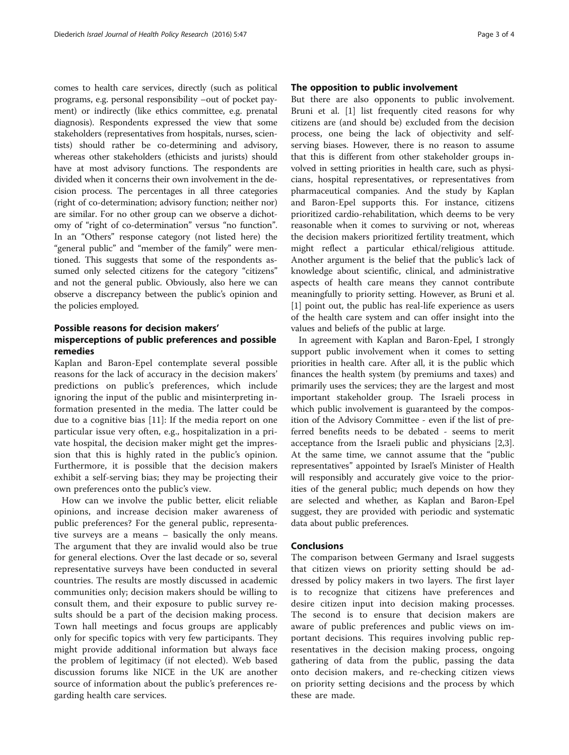comes to health care services, directly (such as political programs, e.g. personal responsibility –out of pocket payment) or indirectly (like ethics committee, e.g. prenatal diagnosis). Respondents expressed the view that some stakeholders (representatives from hospitals, nurses, scientists) should rather be co-determining and advisory, whereas other stakeholders (ethicists and jurists) should have at most advisory functions. The respondents are divided when it concerns their own involvement in the decision process. The percentages in all three categories (right of co-determination; advisory function; neither nor) are similar. For no other group can we observe a dichotomy of "right of co-determination" versus "no function". In an "Others" response category (not listed here) the "general public" and "member of the family" were mentioned. This suggests that some of the respondents assumed only selected citizens for the category "citizens" and not the general public. Obviously, also here we can observe a discrepancy between the public's opinion and the policies employed.

# Possible reasons for decision makers' misperceptions of public preferences and possible remedies

Kaplan and Baron-Epel contemplate several possible reasons for the lack of accuracy in the decision makers' predictions on public's preferences, which include ignoring the input of the public and misinterpreting information presented in the media. The latter could be due to a cognitive bias [[11\]](#page-3-0): If the media report on one particular issue very often, e.g., hospitalization in a private hospital, the decision maker might get the impression that this is highly rated in the public's opinion. Furthermore, it is possible that the decision makers exhibit a self-serving bias; they may be projecting their own preferences onto the public's view.

How can we involve the public better, elicit reliable opinions, and increase decision maker awareness of public preferences? For the general public, representative surveys are a means – basically the only means. The argument that they are invalid would also be true for general elections. Over the last decade or so, several representative surveys have been conducted in several countries. The results are mostly discussed in academic communities only; decision makers should be willing to consult them, and their exposure to public survey results should be a part of the decision making process. Town hall meetings and focus groups are applicably only for specific topics with very few participants. They might provide additional information but always face the problem of legitimacy (if not elected). Web based discussion forums like NICE in the UK are another source of information about the public's preferences regarding health care services.

## The opposition to public involvement

But there are also opponents to public involvement. Bruni et al. [\[1](#page-3-0)] list frequently cited reasons for why citizens are (and should be) excluded from the decision process, one being the lack of objectivity and selfserving biases. However, there is no reason to assume that this is different from other stakeholder groups involved in setting priorities in health care, such as physicians, hospital representatives, or representatives from pharmaceutical companies. And the study by Kaplan and Baron-Epel supports this. For instance, citizens prioritized cardio-rehabilitation, which deems to be very reasonable when it comes to surviving or not, whereas the decision makers prioritized fertility treatment, which might reflect a particular ethical/religious attitude. Another argument is the belief that the public's lack of knowledge about scientific, clinical, and administrative aspects of health care means they cannot contribute meaningfully to priority setting. However, as Bruni et al. [[1\]](#page-3-0) point out, the public has real-life experience as users of the health care system and can offer insight into the values and beliefs of the public at large.

In agreement with Kaplan and Baron-Epel, I strongly support public involvement when it comes to setting priorities in health care. After all, it is the public which finances the health system (by premiums and taxes) and primarily uses the services; they are the largest and most important stakeholder group. The Israeli process in which public involvement is guaranteed by the composition of the Advisory Committee - even if the list of preferred benefits needs to be debated - seems to merit acceptance from the Israeli public and physicians [\[2,3](#page-3-0)]. At the same time, we cannot assume that the "public representatives" appointed by Israel's Minister of Health will responsibly and accurately give voice to the priorities of the general public; much depends on how they are selected and whether, as Kaplan and Baron-Epel suggest, they are provided with periodic and systematic data about public preferences.

## Conclusions

The comparison between Germany and Israel suggests that citizen views on priority setting should be addressed by policy makers in two layers. The first layer is to recognize that citizens have preferences and desire citizen input into decision making processes. The second is to ensure that decision makers are aware of public preferences and public views on important decisions. This requires involving public representatives in the decision making process, ongoing gathering of data from the public, passing the data onto decision makers, and re-checking citizen views on priority setting decisions and the process by which these are made.